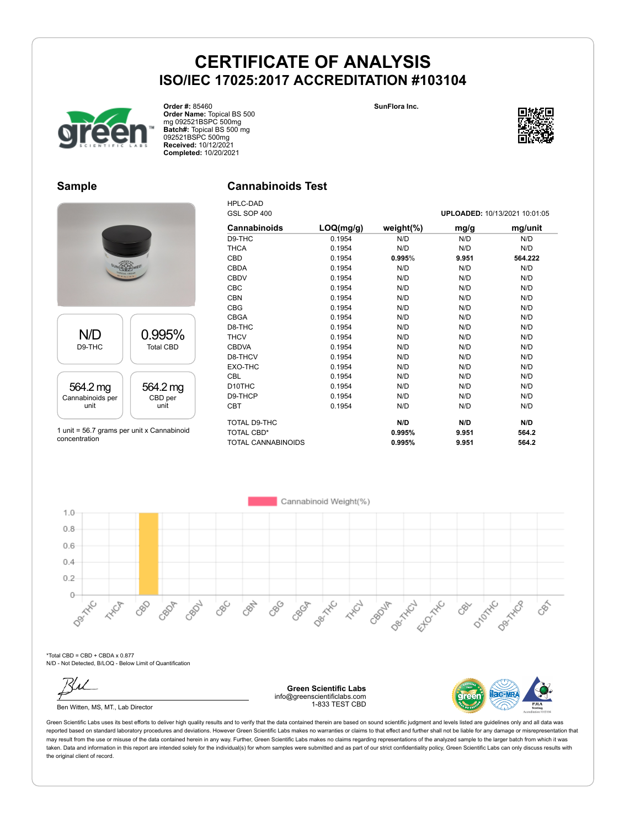



GSL SOP 400 **UPLOADED:** 10/13/2021 10:01:05

### **Sample**

### **Cannabinoids Test**

HPLC-DAD



**Order #:** 85460

**Order Name:** Topical BS 500 mg 092521BSPC 500mg **Batch#:** Topical BS 500 mg 092521BSPC 500mg **Received:** 10/12/2021 **Completed:** 10/20/2021

1 unit = 56.7 grams per unit x Cannabinoid concentration

| GSL SUP 400         |           |               | <b>UPLOADED:</b> 10/13/2021 10:01:05 |         |  |  |
|---------------------|-----------|---------------|--------------------------------------|---------|--|--|
| <b>Cannabinoids</b> | LOQ(mg/g) | weight $(\%)$ | mg/g                                 | mg/unit |  |  |
| D9-THC              | 0.1954    | N/D           | N/D                                  | N/D     |  |  |
| <b>THCA</b>         | 0.1954    | N/D           | N/D                                  | N/D     |  |  |
| CBD                 | 0.1954    | 0.995%        | 9.951                                | 564.222 |  |  |
| <b>CBDA</b>         | 0.1954    | N/D           | N/D                                  | N/D     |  |  |
| <b>CBDV</b>         | 0.1954    | N/D           | N/D                                  | N/D     |  |  |
| <b>CBC</b>          | 0.1954    | N/D           | N/D                                  | N/D     |  |  |
| <b>CBN</b>          | 0.1954    | N/D           | N/D                                  | N/D     |  |  |
| <b>CBG</b>          | 0.1954    | N/D           | N/D                                  | N/D     |  |  |
| <b>CBGA</b>         | 0.1954    | N/D           | N/D                                  | N/D     |  |  |
| D8-THC              | 0.1954    | N/D           | N/D                                  | N/D     |  |  |
| <b>THCV</b>         | 0.1954    | N/D           | N/D                                  | N/D     |  |  |
| <b>CBDVA</b>        | 0.1954    | N/D           | N/D                                  | N/D     |  |  |
| D8-THCV             | 0.1954    | N/D           | N/D                                  | N/D     |  |  |
| EXO-THC             | 0.1954    | N/D           | N/D                                  | N/D     |  |  |
| <b>CBL</b>          | 0.1954    | N/D           | N/D                                  | N/D     |  |  |
| D <sub>10</sub> THC | 0.1954    | N/D           | N/D                                  | N/D     |  |  |
| D9-THCP             | 0.1954    | N/D           | N/D                                  | N/D     |  |  |
| <b>CBT</b>          | 0.1954    | N/D           | N/D                                  | N/D     |  |  |
| TOTAL D9-THC        |           | N/D           | N/D                                  | N/D     |  |  |
| <b>TOTAL CBD*</b>   |           | 0.995%        | 9.951                                | 564.2   |  |  |
| TOTAL CANNABINOIDS  |           | 0.995%        | 9.951                                | 564.2   |  |  |



\*Total CBD = CBD + CBDA x 0.877 N/D - Not Detected, B/LOQ - Below Limit of Quantification



Ben Witten, MS, MT., Lab Director

**Green Scientific Labs** info@greenscientificlabs.com 1-833 TEST CBD

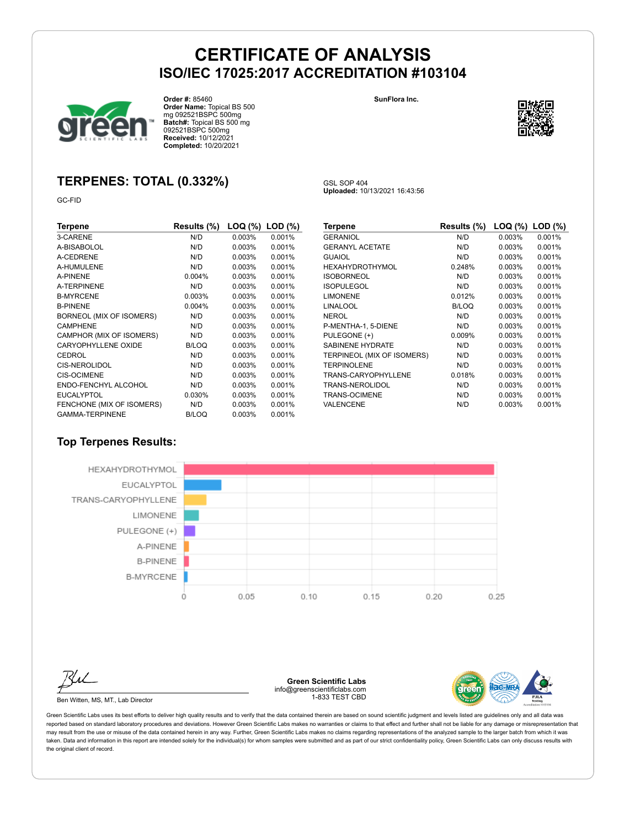GSL SOP 404

**Uploaded:** 10/13/2021 16:43:56



**Order #:** 85460 **Order Name:** Topical BS 500 mg 092521BSPC 500mg **Batch#:** Topical BS 500 mg 092521BSPC 500mg **Received:** 10/12/2021 **Completed:** 10/20/2021

**SunFlora Inc.**



### **TERPENES: TOTAL (0.332%)**

GC-FID

| Terpene                    | Results (%) | LOQ (%) | $LOD$ $(\%)$ |
|----------------------------|-------------|---------|--------------|
| 3-CARENE                   | N/D         | 0.003%  | 0.001%       |
| A-BISABOLOL                | N/D         | 0.003%  | 0.001%       |
| A-CEDRENE                  | N/D         | 0.003%  | 0.001%       |
| A-HUMULENE                 | N/D         | 0.003%  | 0.001%       |
| A-PINENE                   | 0.004%      | 0.003%  | 0.001%       |
| A-TERPINENE                | N/D         | 0.003%  | 0.001%       |
| <b>B-MYRCENE</b>           | 0.003%      | 0.003%  | 0.001%       |
| <b>B-PINENE</b>            | 0.004%      | 0.003%  | 0.001%       |
| BORNEOL (MIX OF ISOMERS)   | N/D         | 0.003%  | 0.001%       |
| <b>CAMPHENE</b>            | N/D         | 0.003%  | 0.001%       |
| CAMPHOR (MIX OF ISOMERS)   | N/D         | 0.003%  | 0.001%       |
| <b>CARYOPHYLLENE OXIDE</b> | B/LOQ       | 0.003%  | 0.001%       |
| <b>CEDROL</b>              | N/D         | 0.003%  | 0.001%       |
| CIS-NEROLIDOL              | N/D         | 0.003%  | 0.001%       |
| CIS-OCIMENE                | N/D         | 0.003%  | 0.001%       |
| ENDO-FENCHYL ALCOHOL       | N/D         | 0.003%  | 0.001%       |
| <b>EUCALYPTOL</b>          | 0.030%      | 0.003%  | 0.001%       |
| FENCHONE (MIX OF ISOMERS)  | N/D         | 0.003%  | 0.001%       |
| <b>GAMMA-TERPINENE</b>     | B/LOQ       | 0.003%  | 0.001%       |

| Terpene                    | Results (%)  | LOQ (%) | $LOD$ $(\%)$ |
|----------------------------|--------------|---------|--------------|
| <b>GERANIOL</b>            | N/D          | 0.003%  | 0.001%       |
| <b>GERANYL ACETATE</b>     | N/D          | 0.003%  | 0.001%       |
| <b>GUAIOL</b>              | N/D          | 0.003%  | 0.001%       |
| HEXAHYDROTHYMOL            | 0.248%       | 0.003%  | 0.001%       |
| <b>ISOBORNEOL</b>          | N/D          | 0.003%  | 0.001%       |
| <b>ISOPULEGOL</b>          | N/D          | 0.003%  | 0.001%       |
| <b>LIMONENE</b>            | 0.012%       | 0.003%  | 0.001%       |
| LINALOOL                   | <b>B/LOQ</b> | 0.003%  | 0.001%       |
| NEROL                      | N/D          | 0.003%  | 0.001%       |
| P-MENTHA-1, 5-DIENE        | N/D          | 0.003%  | 0.001%       |
| PULEGONE (+)               | 0.009%       | 0.003%  | 0.001%       |
| <b>SABINENE HYDRATE</b>    | N/D          | 0.003%  | 0.001%       |
| TERPINEOL (MIX OF ISOMERS) | N/D          | 0.003%  | 0.001%       |
| <b>TERPINOLENE</b>         | N/D          | 0.003%  | 0.001%       |
| TRANS-CARYOPHYLLENE        | 0.018%       | 0.003%  | 0.001%       |
| TRANS-NEROLIDOL            | N/D          | 0.003%  | 0.001%       |
| TRANS-OCIMENE              | N/D          | 0.003%  | 0.001%       |
| VALENCENE                  | N/D          | 0.003%  | 0.001%       |

### **Top Terpenes Results:**



Ben Witten, MS, MT., Lab Director

**Green Scientific Labs** info@greenscientificlabs.com 1-833 TEST CBD

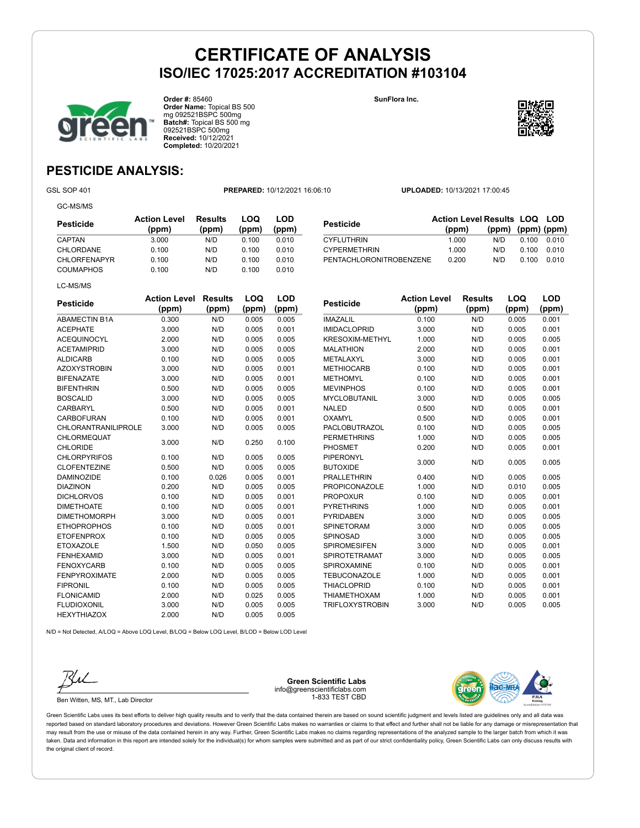

**Order #:** 85460 **Order Name:** Topical BS 500 mg 092521BSPC 500mg **Batch#:** Topical BS 500 mg 092521BSPC 500mg **Received:** 10/12/2021 **Completed:** 10/20/2021

**SunFlora Inc.**



**(ppm) (ppm) (ppm)**

### **PESTICIDE ANALYSIS:**

GC-MS/MS

GSL SOP 401 **PREPARED:** 10/12/2021 16:06:10 **UPLOADED:** 10/13/2021 17:00:45

**Pesticide Action Level Results LOQ LOD (ppm)**

CYFLUTHRIN 1.000 N/D 0.100 0.010 CYPERMETHRIN 1.000 N/D 0.100 0.010 PENTACHLORONITROBENZENE 0.200 N/D 0.100 0.010

| Pesticide           | <b>Action Level</b><br>(ppm) | Results<br>(ppm) | LOQ<br>(ppm) | LOD<br>(ppm) |
|---------------------|------------------------------|------------------|--------------|--------------|
| <b>CAPTAN</b>       | 3.000                        | N/D              | 0.100        | 0.010        |
| CHLORDANE           | 0.100                        | N/D              | 0.100        | 0.010        |
| <b>CHLORFENAPYR</b> | 0.100                        | N/D              | 0.100        | 0.010        |
| <b>COUMAPHOS</b>    | 0.100                        | N/D              | 0.100        | 0.010        |
| LC-MS/MS            |                              |                  |              |              |

| <b>Pesticide</b>                      | <b>Action Level</b><br>(ppm) | <b>Results</b><br>(ppm) | LOQ<br>(ppm) | <b>LOD</b><br>(ppm) |
|---------------------------------------|------------------------------|-------------------------|--------------|---------------------|
| <b>ABAMECTIN B1A</b>                  | 0.300                        | N/D                     | 0.005        | 0.005               |
| <b>ACEPHATE</b>                       | 3.000                        | N/D                     | 0.005        | 0.001               |
| <b>ACEQUINOCYL</b>                    | 2.000                        | N/D                     | 0.005        | 0.005               |
| <b>ACETAMIPRID</b>                    | 3.000                        | N/D                     | 0.005        | 0.005               |
| <b>ALDICARB</b>                       | 0.100                        | N/D                     | 0.005        | 0.005               |
| <b>AZOXYSTROBIN</b>                   | 3.000                        | N/D                     | 0.005        | 0.001               |
| <b>BIFENAZATE</b>                     | 3.000                        | N/D                     | 0.005        | 0.001               |
| <b>BIFENTHRIN</b>                     | 0.500                        | N/D                     | 0.005        | 0.005               |
| <b>BOSCALID</b>                       | 3.000                        | N/D                     | 0.005        | 0.005               |
| <b>CARBARYL</b>                       | 0.500                        | N/D                     | 0.005        | 0.001               |
| <b>CARBOFURAN</b>                     | 0.100                        | N/D                     | 0.005        | 0.001               |
| <b>CHLORANTRANILIPROLE</b>            | 3.000                        | N/D                     | 0.005        | 0.005               |
| <b>CHLORMEQUAT</b><br><b>CHLORIDE</b> | 3.000                        | N/D                     | 0.250        | 0.100               |
| <b>CHLORPYRIFOS</b>                   | 0.100                        | N/D                     | 0.005        | 0.005               |
| <b>CLOFENTEZINE</b>                   | 0.500                        | N/D                     | 0.005        | 0.005               |
| <b>DAMINOZIDE</b>                     | 0.100                        | 0.026                   | 0.005        | 0.001               |
| <b>DIAZINON</b>                       | 0.200                        | N/D                     | 0.005        | 0.005               |
| <b>DICHLORVOS</b>                     | 0.100                        | N/D                     | 0.005        | 0.001               |
| <b>DIMETHOATE</b>                     | 0.100                        | N/D                     | 0.005        | 0.001               |
| <b>DIMETHOMORPH</b>                   | 3.000                        | N/D                     | 0.005        | 0.001               |
| <b>ETHOPROPHOS</b>                    | 0.100                        | N/D                     | 0.005        | 0.001               |
| <b>ETOFENPROX</b>                     | 0.100                        | N/D                     | 0.005        | 0.005               |
| <b>ETOXAZOLE</b>                      | 1.500                        | N/D                     | 0.050        | 0.005               |
| <b>FENHEXAMID</b>                     | 3.000                        | N/D                     | 0.005        | 0.001               |
| <b>FENOXYCARB</b>                     | 0.100                        | N/D                     | 0.005        | 0.005               |
| <b>FENPYROXIMATE</b>                  | 2.000                        | N/D                     | 0.005        | 0.005               |
| <b>FIPRONIL</b>                       | 0.100                        | N/D                     | 0.005        | 0.005               |
| <b>FLONICAMID</b>                     | 2.000                        | N/D                     | 0.025        | 0.005               |
| <b>FLUDIOXONIL</b>                    | 3.000                        | N/D                     | 0.005        | 0.005               |
| <b>HEXYTHIAZOX</b>                    | 2.000                        | N/D                     | 0.005        | 0.005               |

| <b>Pesticide</b>       | <b>Action Level</b><br>(ppm) | Results<br>(ppm) | LOQ<br>(ppm) | LOD<br>(ppm) |
|------------------------|------------------------------|------------------|--------------|--------------|
| <b>IMAZALIL</b>        | 0.100                        | N/D              | 0.005        | 0.001        |
| <b>IMIDACLOPRID</b>    | 3.000                        | N/D              | 0.005        | 0.001        |
| <b>KRESOXIM-METHYL</b> | 1.000                        | N/D              | 0.005        | 0.005        |
| <b>MALATHION</b>       | 2.000                        | N/D              | 0.005        | 0.001        |
| METALAXYL              | 3.000                        | N/D              | 0.005        | 0.001        |
| <b>METHIOCARB</b>      | 0.100                        | N/D              | 0.005        | 0.001        |
| <b>METHOMYL</b>        | 0.100                        | N/D              | 0.005        | 0.001        |
| <b>MEVINPHOS</b>       | 0.100                        | N/D              | 0.005        | 0.001        |
| <b>MYCLOBUTANIL</b>    | 3.000                        | N/D              | 0.005        | 0.005        |
| <b>NALED</b>           | 0.500                        | N/D              | 0.005        | 0.001        |
| OXAMYL                 | 0.500                        | N/D              | 0.005        | 0.001        |
| <b>PACLOBUTRAZOL</b>   | 0.100                        | N/D              | 0.005        | 0.005        |
| <b>PERMETHRINS</b>     | 1.000                        | N/D              | 0.005        | 0.005        |
| <b>PHOSMET</b>         | 0.200                        | N/D              | 0.005        | 0.001        |
| <b>PIPERONYL</b>       | 3.000                        | N/D              | 0.005        | 0.005        |
| <b>BUTOXIDE</b>        |                              |                  |              |              |
| <b>PRALLETHRIN</b>     | 0.400                        | N/D              | 0.005        | 0.005        |
| <b>PROPICONAZOLE</b>   | 1.000                        | N/D              | 0.010        | 0.005        |
| <b>PROPOXUR</b>        | 0.100                        | N/D              | 0.005        | 0.001        |
| <b>PYRETHRINS</b>      | 1.000                        | N/D              | 0.005        | 0.001        |
| <b>PYRIDABEN</b>       | 3.000                        | N/D              | 0.005        | 0.005        |
| <b>SPINETORAM</b>      | 3.000                        | N/D              | 0.005        | 0.005        |
| SPINOSAD               | 3.000                        | N/D              | 0.005        | 0.005        |
| <b>SPIROMESIFEN</b>    | 3.000                        | N/D              | 0.005        | 0.001        |
| SPIROTETRAMAT          | 3.000                        | N/D              | 0.005        | 0.005        |
| <b>SPIROXAMINE</b>     | 0.100                        | N/D              | 0.005        | 0.001        |
| <b>TEBUCONAZOLE</b>    | 1.000                        | N/D              | 0.005        | 0.001        |
| <b>THIACLOPRID</b>     | 0.100                        | N/D              | 0.005        | 0.001        |
| <b>THIAMETHOXAM</b>    | 1.000                        | N/D              | 0.005        | 0.001        |
| <b>TRIFLOXYSTROBIN</b> | 3.000                        | N/D              | 0.005        | 0.005        |

N/D = Not Detected, A/LOQ = Above LOQ Level, B/LOQ = Below LOQ Level, B/LOD = Below LOD Level



Ben Witten, MS, MT., Lab Director

**Green Scientific Labs** info@greenscientificlabs.com 1-833 TEST CBD

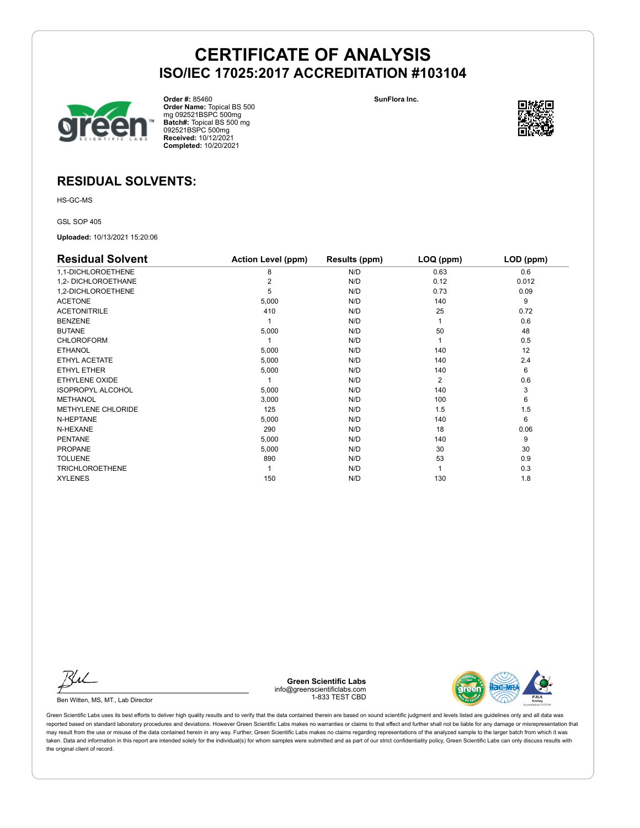

**Order #:** 85460 **Order Name:** Topical BS 500 mg 092521BSPC 500mg **Batch#:** Topical BS 500 mg 092521BSPC 500mg **Received:** 10/12/2021 **Completed:** 10/20/2021

**SunFlora Inc.**



### **RESIDUAL SOLVENTS:**

HS-GC-MS

GSL SOP 405

**Uploaded:** 10/13/2021 15:20:06

| <b>Residual Solvent</b>  | <b>Action Level (ppm)</b> | Results (ppm) | LOQ (ppm) | LOD (ppm) |
|--------------------------|---------------------------|---------------|-----------|-----------|
| 1,1-DICHLOROETHENE       | 8                         | N/D           | 0.63      | 0.6       |
| 1,2- DICHLOROETHANE      |                           | N/D           | 0.12      | 0.012     |
| 1,2-DICHLOROETHENE       | 5                         | N/D           | 0.73      | 0.09      |
| <b>ACETONE</b>           | 5,000                     | N/D           | 140       | 9         |
| <b>ACETONITRILE</b>      | 410                       | N/D           | 25        | 0.72      |
| <b>BENZENE</b>           |                           | N/D           |           | 0.6       |
| <b>BUTANE</b>            | 5,000                     | N/D           | 50        | 48        |
| <b>CHLOROFORM</b>        |                           | N/D           |           | 0.5       |
| <b>ETHANOL</b>           | 5,000                     | N/D           | 140       | 12        |
| ETHYL ACETATE            | 5,000                     | N/D           | 140       | 2.4       |
| ETHYL ETHER              | 5,000                     | N/D           | 140       | 6         |
| <b>ETHYLENE OXIDE</b>    |                           | N/D           | 2         | 0.6       |
| <b>ISOPROPYL ALCOHOL</b> | 5,000                     | N/D           | 140       | 3         |
| <b>METHANOL</b>          | 3,000                     | N/D           | 100       | 6         |
| METHYLENE CHLORIDE       | 125                       | N/D           | 1.5       | 1.5       |
| N-HEPTANE                | 5,000                     | N/D           | 140       | 6         |
| N-HEXANE                 | 290                       | N/D           | 18        | 0.06      |
| <b>PENTANE</b>           | 5,000                     | N/D           | 140       | 9         |
| <b>PROPANE</b>           | 5,000                     | N/D           | 30        | 30        |
| <b>TOLUENE</b>           | 890                       | N/D           | 53        | 0.9       |
| <b>TRICHLOROETHENE</b>   |                           | N/D           |           | 0.3       |
| <b>XYLENES</b>           | 150                       | N/D           | 130       | 1.8       |

Ku

Ben Witten, MS, MT., Lab Director

**Green Scientific Labs** info@greenscientificlabs.com 1-833 TEST CBD

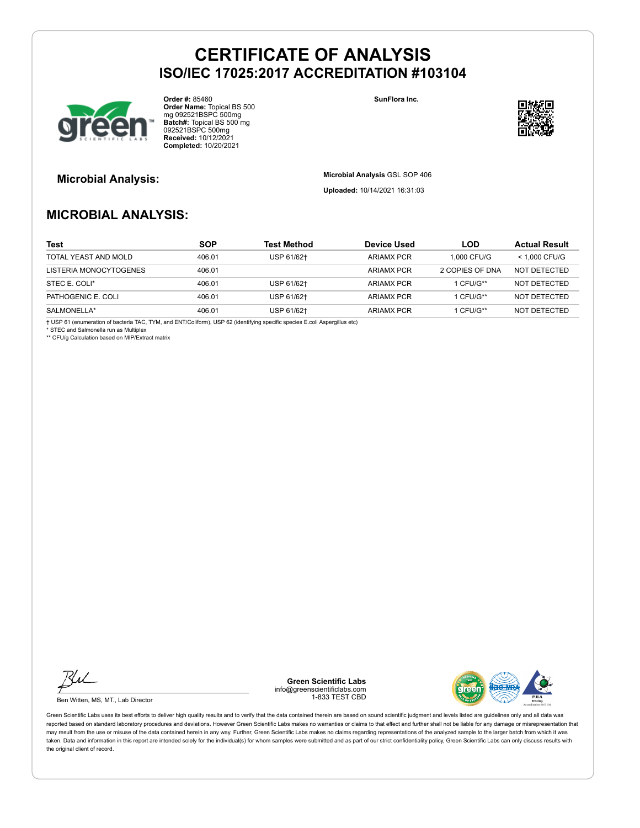

**Order #:** 85460 **Order Name:** Topical BS 500 mg 092521BSPC 500mg **Batch#:** Topical BS 500 mg 092521BSPC 500mg **Received:** 10/12/2021 **Completed:** 10/20/2021

**SunFlora Inc.**



**Microbial Analysis: Microbial Analysis** GSL SOP 406

**Uploaded:** 10/14/2021 16:31:03

### **MICROBIAL ANALYSIS:**

| Test                   | <b>SOP</b> | Test Method | <b>Device Used</b> | LOD.            | <b>Actual Result</b> |
|------------------------|------------|-------------|--------------------|-----------------|----------------------|
| TOTAL YEAST AND MOLD   | 406.01     | USP 61/62+  | <b>ARIAMX PCR</b>  | 1.000 CFU/G     | $<$ 1.000 CFU/G      |
| LISTERIA MONOCYTOGENES | 406.01     |             | <b>ARIAMX PCR</b>  | 2 COPIES OF DNA | NOT DETECTED         |
| STEC E. COLI*          | 406.01     | USP 61/62+  | <b>ARIAMX PCR</b>  | 1 CFU/G**       | NOT DETECTED         |
| PATHOGENIC E. COLI     | 406.01     | USP 61/62+  | <b>ARIAMX PCR</b>  | 1 CFU/G**       | NOT DETECTED         |
| SALMONELLA*            | 406.01     | USP 61/62+  | <b>ARIAMX PCR</b>  | 1 CFU/G**       | NOT DETECTED         |

† USP 61 (enumeration of bacteria TAC, TYM, and ENT/Coliform), USP 62 (identifying specific species E.coli Aspergillus etc) \* STEC and Salmonella run as Multiplex

\*\* CFU/g Calculation based on MIP/Extract matrix

Ku

Ben Witten, MS, MT., Lab Director

**Green Scientific Labs** info@greenscientificlabs.com 1-833 TEST CBD